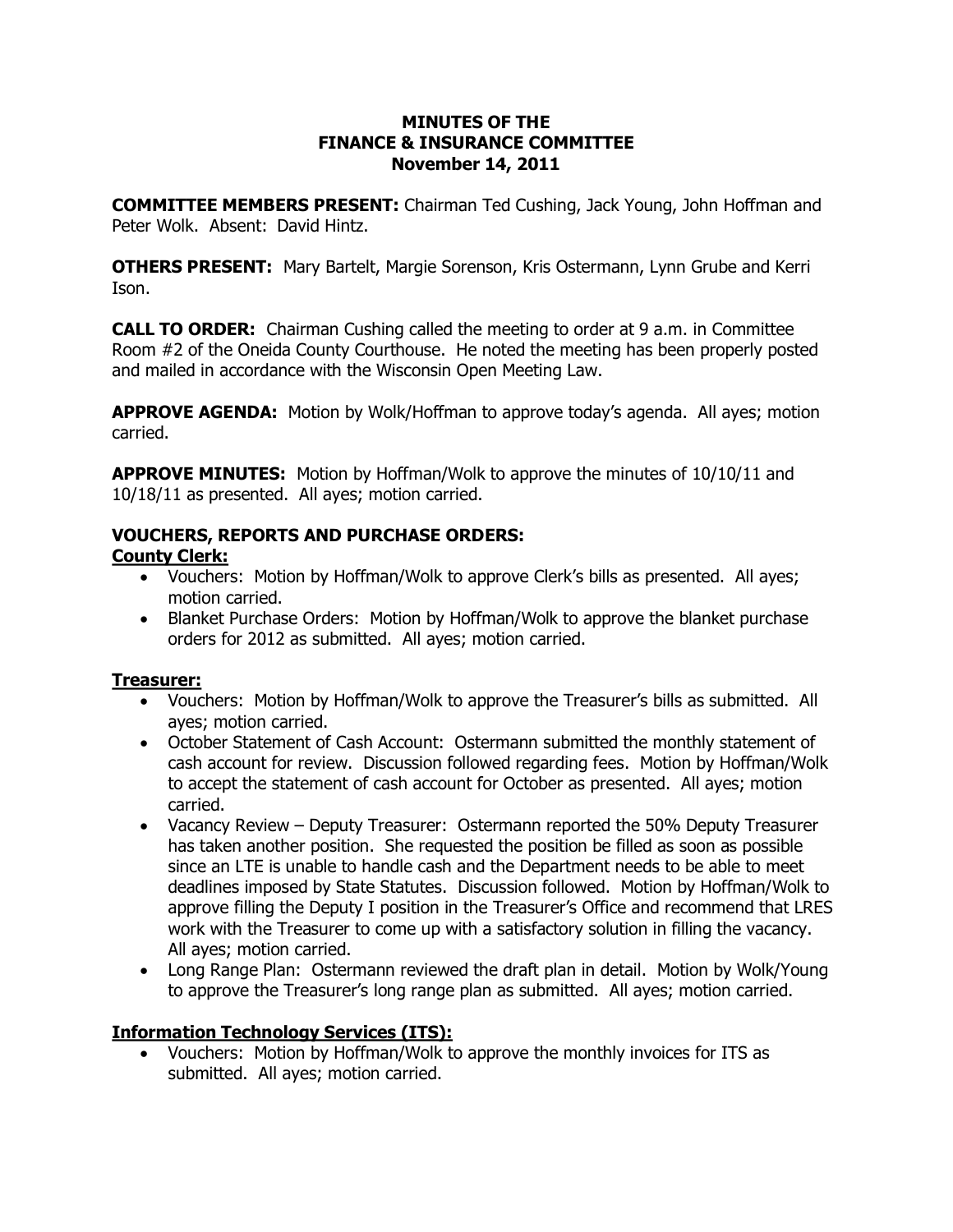#### **MINUTES OF THE FINANCE & INSURANCE COMMITTEE November 14, 2011**

**COMMITTEE MEMBERS PRESENT:** Chairman Ted Cushing, Jack Young, John Hoffman and Peter Wolk. Absent: David Hintz.

**OTHERS PRESENT:** Mary Bartelt, Margie Sorenson, Kris Ostermann, Lynn Grube and Kerri Ison.

**CALL TO ORDER:** Chairman Cushing called the meeting to order at 9 a.m. in Committee Room #2 of the Oneida County Courthouse. He noted the meeting has been properly posted and mailed in accordance with the Wisconsin Open Meeting Law.

**APPROVE AGENDA:** Motion by Wolk/Hoffman to approve today's agenda. All ayes; motion carried.

**APPROVE MINUTES:**  Motion by Hoffman/Wolk to approve the minutes of 10/10/11 and 10/18/11 as presented. All ayes; motion carried.

# **VOUCHERS, REPORTS AND PURCHASE ORDERS:**

### **County Clerk:**

- · Vouchers: Motion by Hoffman/Wolk to approve Clerk's bills as presented. All ayes; motion carried.
- · Blanket Purchase Orders: Motion by Hoffman/Wolk to approve the blanket purchase orders for 2012 as submitted. All ayes; motion carried.

# **Treasurer:**

- · Vouchers: Motion by Hoffman/Wolk to approve the Treasurer's bills as submitted. All ayes; motion carried.
- · October Statement of Cash Account: Ostermann submitted the monthly statement of cash account for review. Discussion followed regarding fees. Motion by Hoffman/Wolk to accept the statement of cash account for October as presented. All ayes; motion carried.
- · Vacancy Review Deputy Treasurer: Ostermann reported the 50% Deputy Treasurer has taken another position. She requested the position be filled as soon as possible since an LTE is unable to handle cash and the Department needs to be able to meet deadlines imposed by State Statutes. Discussion followed. Motion by Hoffman/Wolk to approve filling the Deputy I position in the Treasurer's Office and recommend that LRES work with the Treasurer to come up with a satisfactory solution in filling the vacancy. All ayes; motion carried.
- Long Range Plan: Ostermann reviewed the draft plan in detail. Motion by Wolk/Young to approve the Treasurer's long range plan as submitted. All ayes; motion carried.

# **Information Technology Services (ITS):**

· Vouchers: Motion by Hoffman/Wolk to approve the monthly invoices for ITS as submitted. All ayes; motion carried.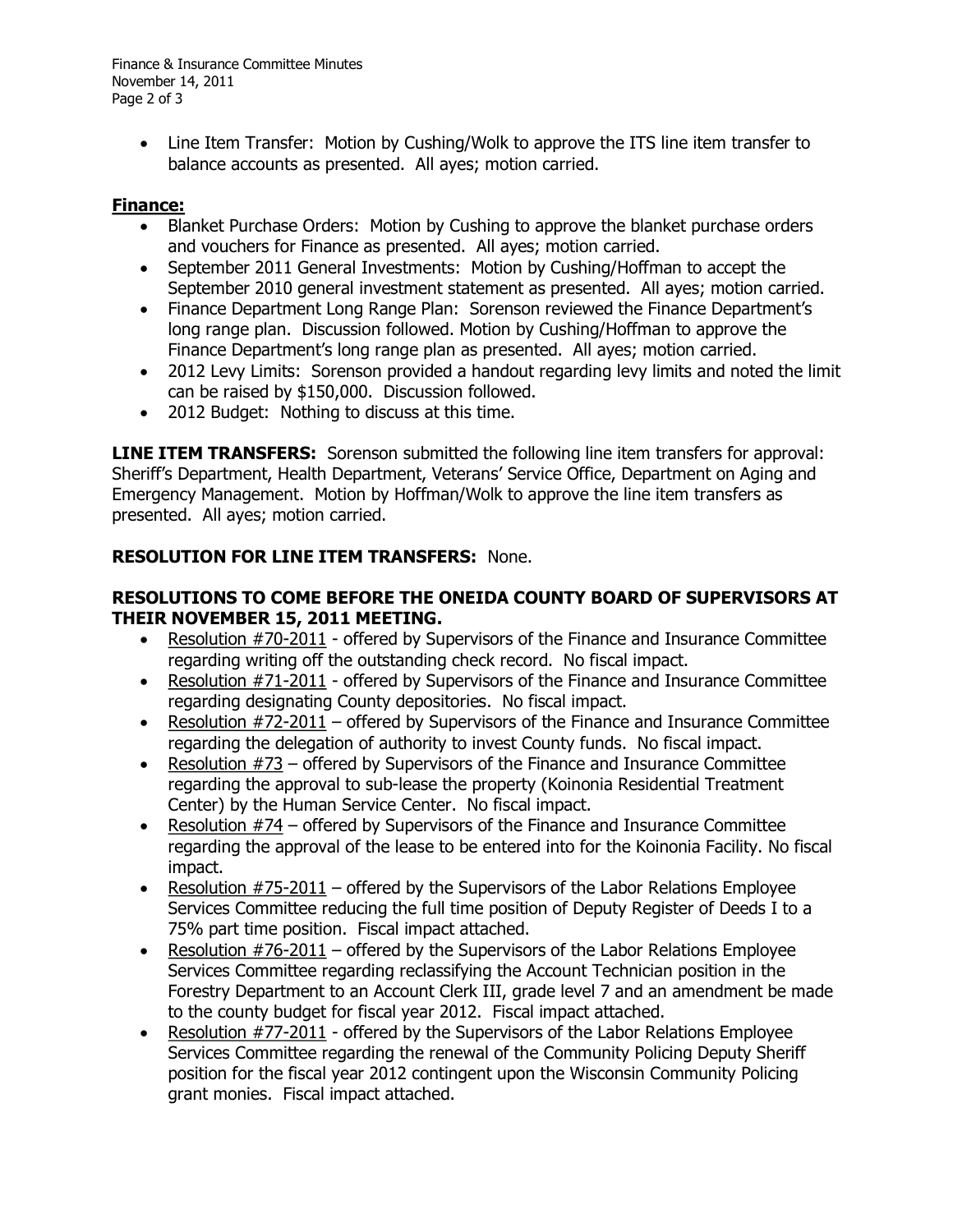Finance & Insurance Committee Minutes November 14, 2011 Page 2 of 3

> • Line Item Transfer: Motion by Cushing/Wolk to approve the ITS line item transfer to balance accounts as presented. All ayes; motion carried.

#### **Finance:**

- · Blanket Purchase Orders: Motion by Cushing to approve the blanket purchase orders and vouchers for Finance as presented. All ayes; motion carried.
- · September 2011 General Investments: Motion by Cushing/Hoffman to accept the September 2010 general investment statement as presented. All ayes; motion carried.
- · Finance Department Long Range Plan: Sorenson reviewed the Finance Department's long range plan. Discussion followed. Motion by Cushing/Hoffman to approve the Finance Department's long range plan as presented. All ayes; motion carried.
- · 2012 Levy Limits: Sorenson provided a handout regarding levy limits and noted the limit can be raised by \$150,000. Discussion followed.
- · 2012 Budget: Nothing to discuss at this time.

**LINE ITEM TRANSFERS:** Sorenson submitted the following line item transfers for approval: Sheriff's Department, Health Department, Veterans' Service Office, Department on Aging and Emergency Management. Motion by Hoffman/Wolk to approve the line item transfers as presented. All ayes; motion carried.

### **RESOLUTION FOR LINE ITEM TRANSFERS:**  None.

#### **RESOLUTIONS TO COME BEFORE THE ONEIDA COUNTY BOARD OF SUPERVISORS AT THEIR NOVEMBER 15, 2011 MEETING.**

- Resolution #70-2011 offered by Supervisors of the Finance and Insurance Committee regarding writing off the outstanding check record. No fiscal impact.
- Resolution #71-2011 offered by Supervisors of the Finance and Insurance Committee regarding designating County depositories. No fiscal impact.
- Resolution  $#72-2011$  offered by Supervisors of the Finance and Insurance Committee regarding the delegation of authority to invest County funds. No fiscal impact.
- · Resolution #73 offered by Supervisors of the Finance and Insurance Committee regarding the approval to sub-lease the property (Koinonia Residential Treatment Center) by the Human Service Center. No fiscal impact.
- · Resolution #74 offered by Supervisors of the Finance and Insurance Committee regarding the approval of the lease to be entered into for the Koinonia Facility. No fiscal impact.
- Resolution  $#75-2011$  offered by the Supervisors of the Labor Relations Employee Services Committee reducing the full time position of Deputy Register of Deeds I to a 75% part time position. Fiscal impact attached.
- Resolution  $#76-2011$  offered by the Supervisors of the Labor Relations Employee Services Committee regarding reclassifying the Account Technician position in the Forestry Department to an Account Clerk III, grade level 7 and an amendment be made to the county budget for fiscal year 2012. Fiscal impact attached.
- Resolution #77-2011 offered by the Supervisors of the Labor Relations Employee Services Committee regarding the renewal of the Community Policing Deputy Sheriff position for the fiscal year 2012 contingent upon the Wisconsin Community Policing grant monies. Fiscal impact attached.